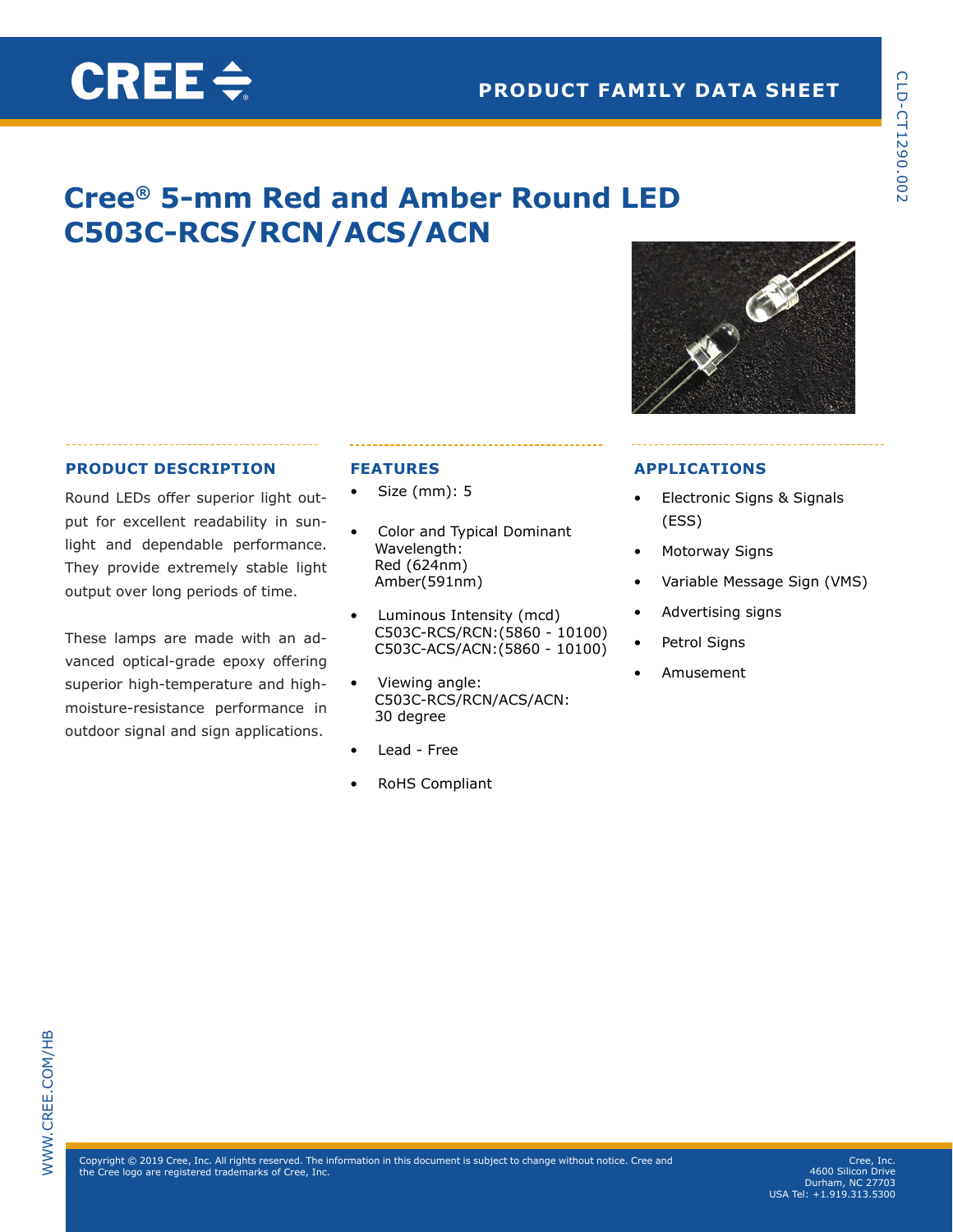# **Cree® 5-mm Red and Amber Round LED C503C-RCS/RCN/ACS/ACN**

# **PRODUCT DESCRIPTION**

CREE $\div$ 

Round LEDs offer superior light output for excellent readability in sunlight and dependable performance. They provide extremely stable light output over long periods of time.

These lamps are made with an advanced optical-grade epoxy offering superior high-temperature and highmoisture-resistance performance in outdoor signal and sign applications.

# **FEATURES**

- Size (mm): 5
- Color and Typical Dominant Wavelength: Red (624nm) Amber(591nm)
- Luminous Intensity (mcd) C503C-RCS/RCN:(5860 - 10100) C503C-ACS/ACN:(5860 - 10100)
- Viewing angle: C503C-RCS/RCN/ACS/ACN: 30 degree
- Lead Free
- RoHS Compliant

## **APPLICATIONS**

- Electronic Signs & Signals (ESS)
- Motorway Signs
- Variable Message Sign (VMS)
- Advertising signs
- Petrol Signs
- Amusement

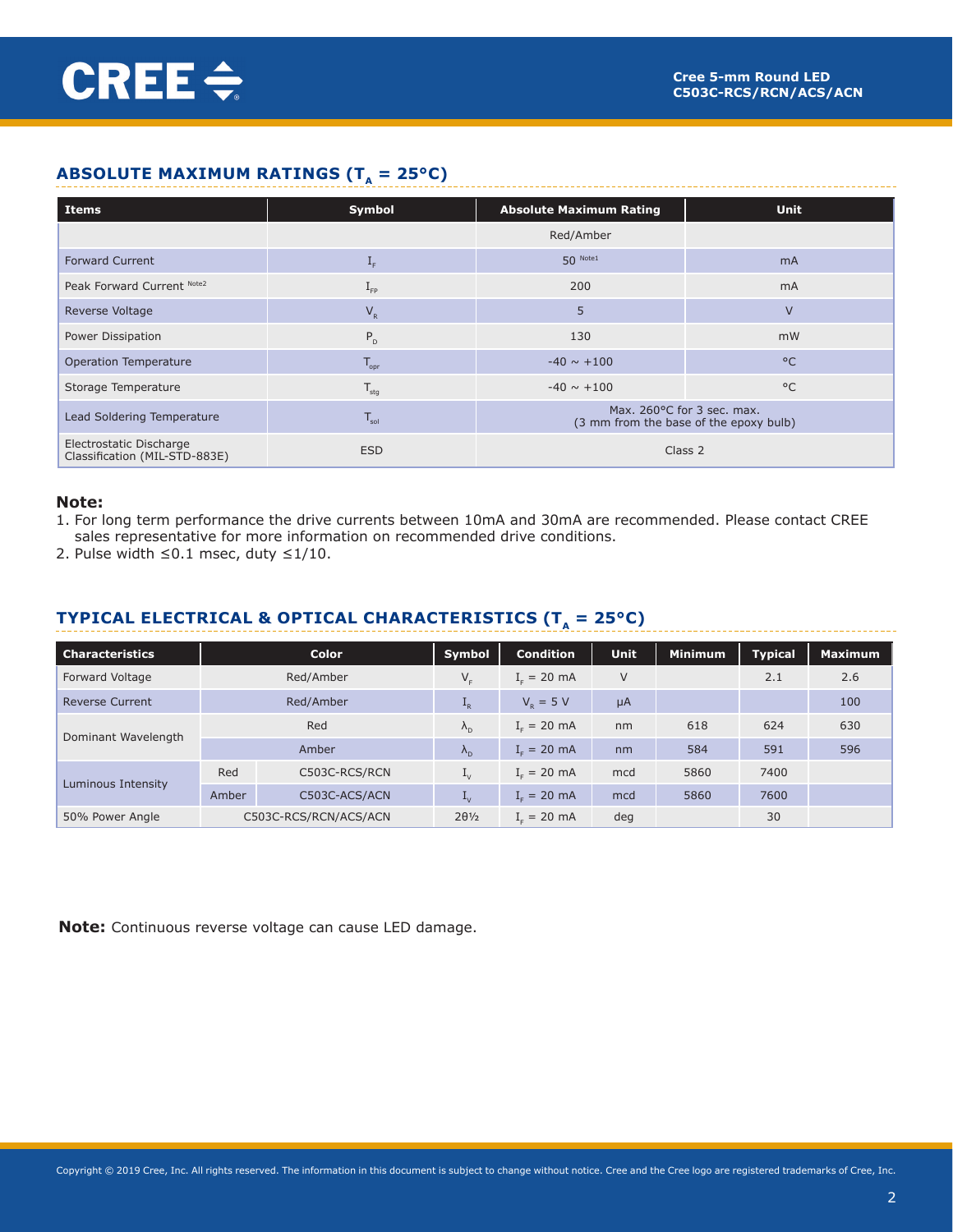# **ABSOLUTE MAXIMUM RATINGS (** $T_A = 25^{\circ}C$ **)**

| Items                                                    | Symbol                    | <b>Absolute Maximum Rating</b>                                       | <b>Unit</b>    |  |  |
|----------------------------------------------------------|---------------------------|----------------------------------------------------------------------|----------------|--|--|
|                                                          |                           | Red/Amber                                                            |                |  |  |
| <b>Forward Current</b>                                   | $\mathbf{I}_{\mathrm{F}}$ | $50$ Note1                                                           | m <sub>A</sub> |  |  |
| Peak Forward Current Note2                               | $I_{\text{FP}}$           | 200                                                                  | mA             |  |  |
| Reverse Voltage                                          | $V_R$                     | 5                                                                    | $\vee$         |  |  |
| Power Dissipation                                        | $P_{D}$                   | 130                                                                  | mW             |  |  |
| Operation Temperature                                    | $T_{\text{opr}}$          | $-40 \sim +100$                                                      | $^{\circ}$ C   |  |  |
| Storage Temperature                                      | $T_{\text{stg}}$          | $-40 \sim +100$                                                      | $^{\circ}$ C   |  |  |
| Lead Soldering Temperature                               | $T_{\rm sol}$             | Max. 260°C for 3 sec. max.<br>(3 mm from the base of the epoxy bulb) |                |  |  |
| Electrostatic Discharge<br>Classification (MIL-STD-883E) | <b>ESD</b>                | Class 2                                                              |                |  |  |

#### **Note:**

- 1. For long term performance the drive currents between 10mA and 30mA are recommended. Please contact CREE sales representative for more information on recommended drive conditions.
- 2. Pulse width ≤0.1 msec, duty ≤1/10.

# **TYPICAL ELECTRICAL & OPTICAL CHARACTERISTICS (T<sub>** $_A$ **</sub> = 25°C)**

| <b>Characteristics</b> |       | Color                 | Symbol                    | <b>Condition</b> | <b>Unit</b> | <b>Minimum</b> | <b>Typical</b> | <b>Maximum</b> |
|------------------------|-------|-----------------------|---------------------------|------------------|-------------|----------------|----------------|----------------|
| Forward Voltage        |       | Red/Amber             | $V_{F}$                   | $I_c = 20$ mA    | $\vee$      |                | 2.1            | 2.6            |
| <b>Reverse Current</b> |       | Red/Amber             | $L_R$                     | $V_{p} = 5 V$    | $\mu$ A     |                |                | 100            |
|                        |       | Red                   | $\lambda_{\rm n}$         | $I_c = 20$ mA    | nm          | 618            | 624            | 630            |
| Dominant Wavelength    |       | Amber                 | $\Lambda_{\rm D}$         | $Ir = 20 mA$     | nm          | 584            | 591            | 596            |
|                        | Red   | C503C-RCS/RCN         | $\mathbf{I}_{V}$          | $I_c = 20$ mA    | mcd         | 5860           | 7400           |                |
| Luminous Intensity     | Amber | C503C-ACS/ACN         | $\mathbf{I}_{\mathrm{V}}$ | $I_c = 20$ mA    | mcd         | 5860           | 7600           |                |
| 50% Power Angle        |       | C503C-RCS/RCN/ACS/ACN | $2\theta\frac{1}{2}$      | $I_c = 20$ mA    | deg         |                | 30             |                |

**Note:** Continuous reverse voltage can cause LED damage.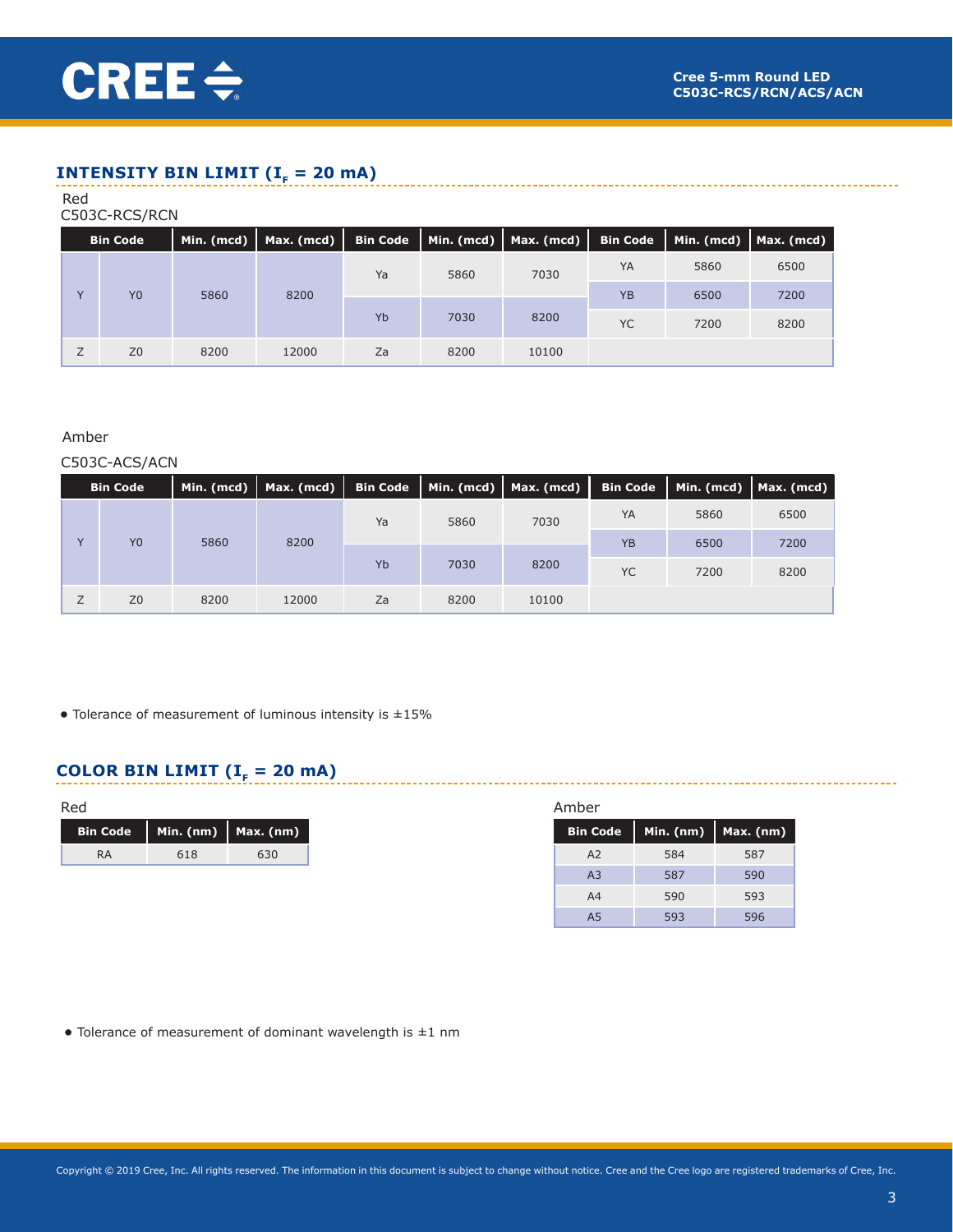# **INTENSITY BIN LIMIT (** $I<sub>F</sub> = 20$  **mA)**

#### Red

## C503C-RCS/RCN

| <b>Bin Code</b> |      | Min. (mcd)   Max. (mcd) | <b>Bin Code</b>    |      | $\mid$ Min. (mcd) $\mid$ Max. (mcd) $\mid$ |           |      | Bin Code   Min. (mcd)   Max. (mcd) |
|-----------------|------|-------------------------|--------------------|------|--------------------------------------------|-----------|------|------------------------------------|
|                 |      |                         | Ya                 | 5860 | 7030                                       |           | 5860 | 6500                               |
| Y <sub>0</sub>  | 5860 | 8200                    | Yb<br>7030<br>8200 |      |                                            | <b>YB</b> | 6500 | 7200                               |
|                 |      |                         |                    |      |                                            | <b>YC</b> | 7200 | 8200                               |
| Z <sub>0</sub>  | 8200 | 12000                   | Za                 | 8200 | 10100                                      |           |      |                                    |

## Amber

#### C503C-ACS/ACN

|                | <b>Bin Code</b> |      | Min. (mcd)   Max. (mcd) | <b>Bin Code</b> |      | $\vert$ Min. (mcd) $\vert$ Max. (mcd) $\vert$ Bin Code |           |      | Min. (mcd)   Max. (mcd) |
|----------------|-----------------|------|-------------------------|-----------------|------|--------------------------------------------------------|-----------|------|-------------------------|
|                |                 |      |                         | Ya              | 5860 | 7030                                                   |           | 5860 | 6500                    |
| $\overline{V}$ | Y <sub>0</sub>  | 5860 | 8200                    |                 |      |                                                        | <b>YB</b> | 6500 | 7200                    |
|                |                 |      |                         | Yb              | 7030 | 8200                                                   | <b>YC</b> | 7200 | 8200                    |
|                | Z <sub>0</sub>  | 8200 | 12000                   | Za              | 8200 | 10100                                                  |           |      |                         |

**•** Tolerance of measurement of luminous intensity is ±15%

# **COLOR BIN LIMIT (** $I<sub>F</sub> = 20$  **mA)**

| Red             |     |                           |
|-----------------|-----|---------------------------|
| <b>Bin Code</b> |     | Min. $(nm)$   Max. $(nm)$ |
| <b>RA</b>       | 618 | 630                       |

| <b>Bin Code</b> | Min. (nm) | Max. (nm) |
|-----------------|-----------|-----------|
| A <sub>2</sub>  | 584       | 587       |
| A <sub>3</sub>  | 587       | 590       |
| A4              | 590       | 593       |
| A5              | 593       | 596       |

**•** Tolerance of measurement of dominant wavelength is ±1 nm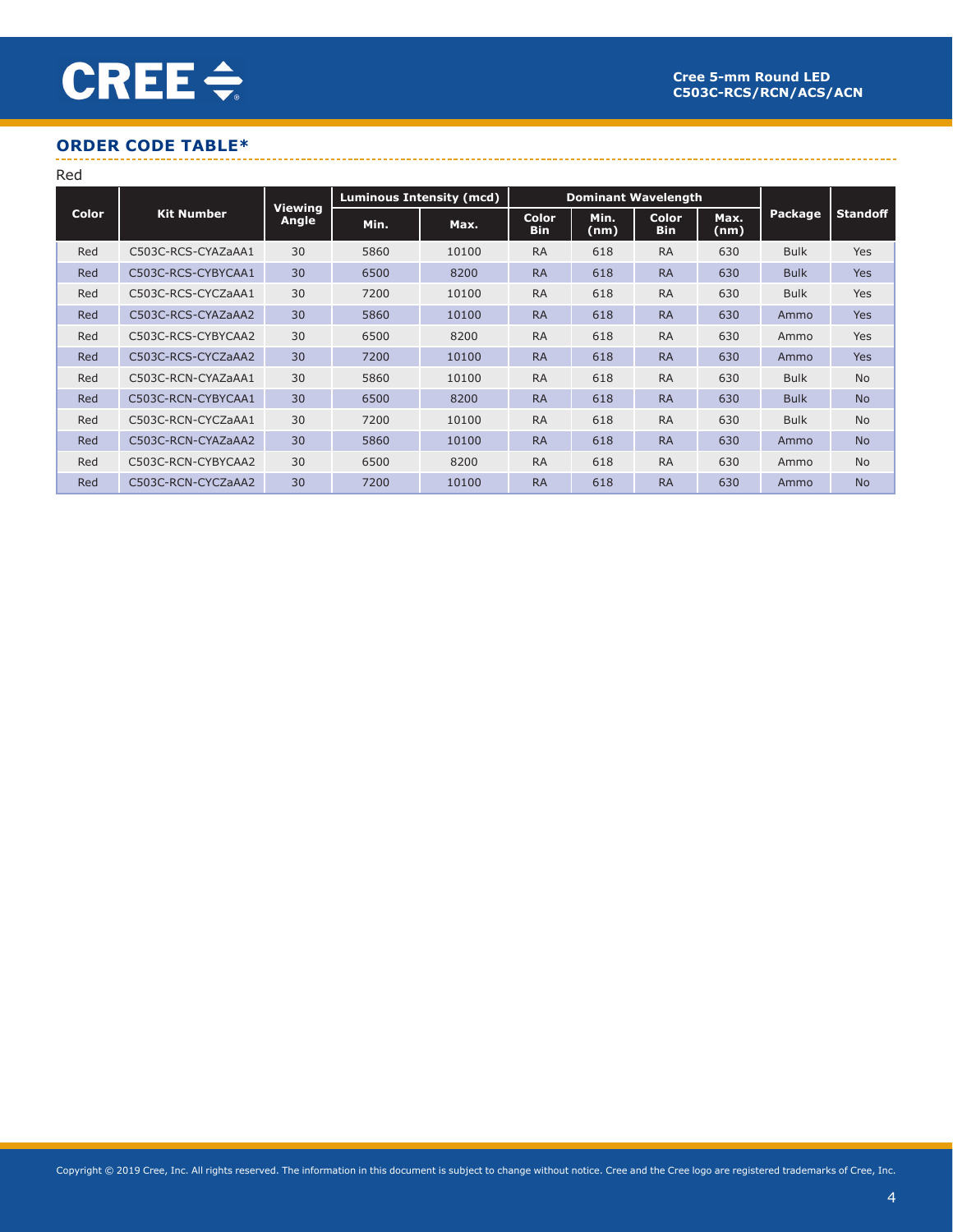# **ORDER CODE TABLE\***

Red

| 1 . C G      |                    |                         |                                                               |       |                            |              |                            |              |                |                 |
|--------------|--------------------|-------------------------|---------------------------------------------------------------|-------|----------------------------|--------------|----------------------------|--------------|----------------|-----------------|
|              |                    |                         | <b>Luminous Intensity (mcd)</b><br><b>Dominant Wavelength</b> |       |                            |              |                            |              |                |                 |
| <b>Color</b> | <b>Kit Number</b>  | <b>Viewing</b><br>Angle | Min.                                                          | Max.  | <b>Color</b><br><b>Bin</b> | Min.<br>(nm) | <b>Color</b><br><b>Bin</b> | Max.<br>(nm) | <b>Package</b> | <b>Standoff</b> |
| Red          | C503C-RCS-CYAZaAA1 | 30                      | 5860                                                          | 10100 | <b>RA</b>                  | 618          | <b>RA</b>                  | 630          | <b>Bulk</b>    | <b>Yes</b>      |
| Red          | C503C-RCS-CYBYCAA1 | 30                      | 6500                                                          | 8200  | <b>RA</b>                  | 618          | <b>RA</b>                  | 630          | <b>Bulk</b>    | <b>Yes</b>      |
| Red          | C503C-RCS-CYCZaAA1 | 30                      | 7200                                                          | 10100 | <b>RA</b>                  | 618          | <b>RA</b>                  | 630          | <b>Bulk</b>    | Yes             |
| Red          | C503C-RCS-CYAZaAA2 | 30                      | 5860                                                          | 10100 | <b>RA</b>                  | 618          | <b>RA</b>                  | 630          | Ammo           | <b>Yes</b>      |
| Red          | C503C-RCS-CYBYCAA2 | 30                      | 6500                                                          | 8200  | <b>RA</b>                  | 618          | <b>RA</b>                  | 630          | Ammo           | Yes             |
| Red          | C503C-RCS-CYCZaAA2 | 30                      | 7200                                                          | 10100 | <b>RA</b>                  | 618          | <b>RA</b>                  | 630          | Ammo           | <b>Yes</b>      |
| Red          | C503C-RCN-CYAZaAA1 | 30                      | 5860                                                          | 10100 | <b>RA</b>                  | 618          | <b>RA</b>                  | 630          | <b>Bulk</b>    | <b>No</b>       |
| Red          | C503C-RCN-CYBYCAA1 | 30                      | 6500                                                          | 8200  | <b>RA</b>                  | 618          | <b>RA</b>                  | 630          | <b>Bulk</b>    | <b>No</b>       |
| Red          | C503C-RCN-CYCZaAA1 | 30                      | 7200                                                          | 10100 | <b>RA</b>                  | 618          | <b>RA</b>                  | 630          | <b>Bulk</b>    | <b>No</b>       |
| Red          | C503C-RCN-CYAZaAA2 | 30                      | 5860                                                          | 10100 | <b>RA</b>                  | 618          | <b>RA</b>                  | 630          | Ammo           | <b>No</b>       |
| Red          | C503C-RCN-CYBYCAA2 | 30                      | 6500                                                          | 8200  | <b>RA</b>                  | 618          | <b>RA</b>                  | 630          | Ammo           | <b>No</b>       |
| Red          | C503C-RCN-CYCZaAA2 | 30                      | 7200                                                          | 10100 | <b>RA</b>                  | 618          | <b>RA</b>                  | 630          | Ammo           | <b>No</b>       |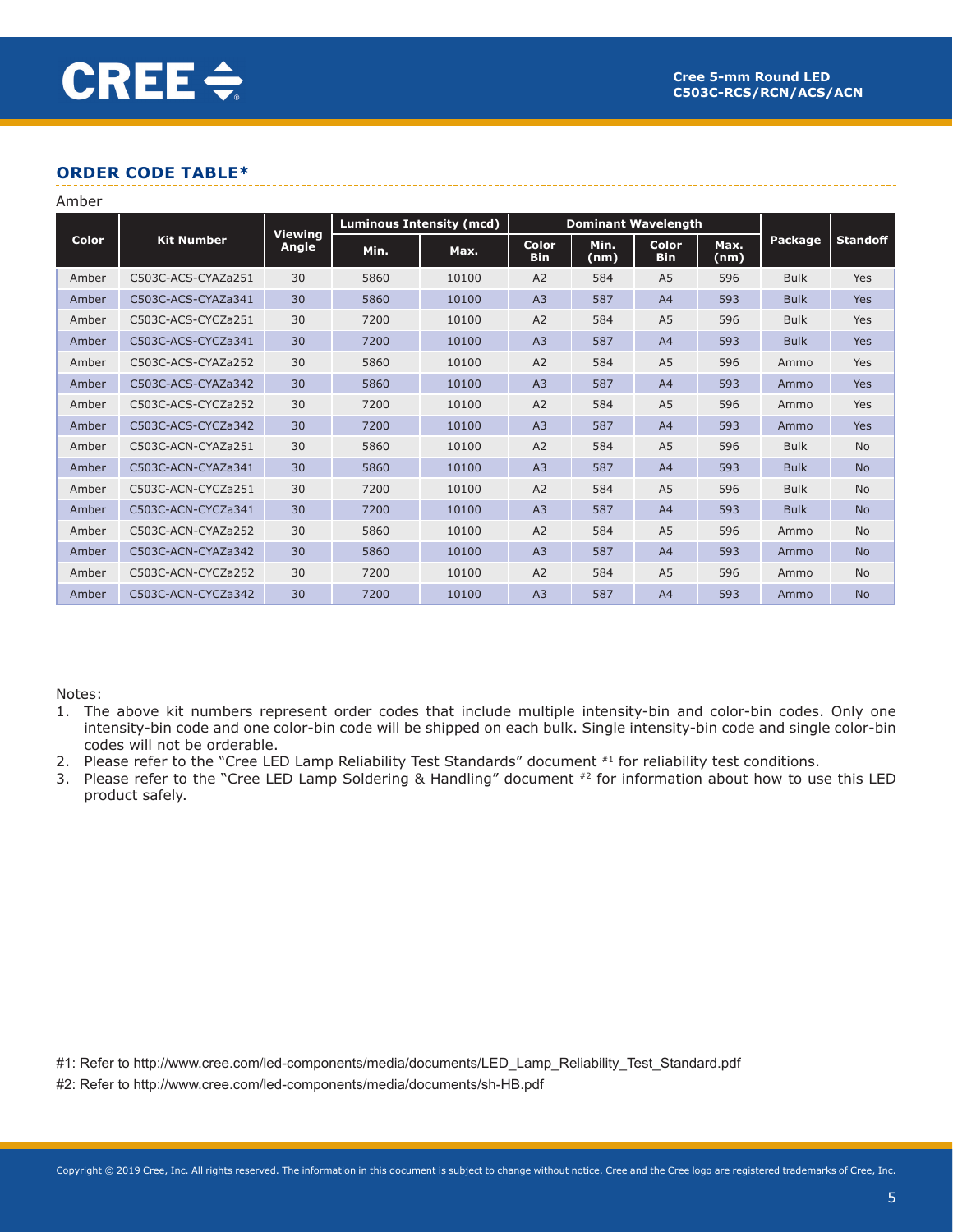# **ORDER CODE TABLE\***

| Amber |                    |                         |                                 |       |                            |                            |                            |              |             |                 |
|-------|--------------------|-------------------------|---------------------------------|-------|----------------------------|----------------------------|----------------------------|--------------|-------------|-----------------|
|       |                    |                         | <b>Luminous Intensity (mcd)</b> |       |                            | <b>Dominant Wavelength</b> |                            |              |             |                 |
| Color | <b>Kit Number</b>  | <b>Viewing</b><br>Angle | Min.                            | Max.  | <b>Color</b><br><b>Bin</b> | Min.<br>(nm)               | <b>Color</b><br><b>Bin</b> | Max.<br>(nm) | Package     | <b>Standoff</b> |
| Amber | C503C-ACS-CYAZa251 | 30                      | 5860                            | 10100 | A2                         | 584                        | A <sub>5</sub>             | 596          | <b>Bulk</b> | Yes             |
| Amber | C503C-ACS-CYAZa341 | 30                      | 5860                            | 10100 | A <sub>3</sub>             | 587                        | A <sub>4</sub>             | 593          | <b>Bulk</b> | Yes             |
| Amber | C503C-ACS-CYCZa251 | 30                      | 7200                            | 10100 | A2                         | 584                        | A <sub>5</sub>             | 596          | <b>Bulk</b> | Yes             |
| Amber | C503C-ACS-CYCZa341 | 30                      | 7200                            | 10100 | A <sub>3</sub>             | 587                        | A <sub>4</sub>             | 593          | <b>Bulk</b> | Yes             |
| Amber | C503C-ACS-CYAZa252 | 30                      | 5860                            | 10100 | A <sub>2</sub>             | 584                        | A <sub>5</sub>             | 596          | Ammo        | Yes             |
| Amber | C503C-ACS-CYAZa342 | 30                      | 5860                            | 10100 | A <sub>3</sub>             | 587                        | A <sub>4</sub>             | 593          | Ammo        | Yes             |
| Amber | C503C-ACS-CYCZa252 | 30                      | 7200                            | 10100 | A <sub>2</sub>             | 584                        | A <sub>5</sub>             | 596          | Ammo        | Yes             |
| Amber | C503C-ACS-CYCZa342 | 30                      | 7200                            | 10100 | A <sub>3</sub>             | 587                        | A <sub>4</sub>             | 593          | Ammo        | Yes             |
| Amber | C503C-ACN-CYAZa251 | 30                      | 5860                            | 10100 | A2                         | 584                        | A <sub>5</sub>             | 596          | <b>Bulk</b> | <b>No</b>       |
| Amber | C503C-ACN-CYAZa341 | 30                      | 5860                            | 10100 | A <sub>3</sub>             | 587                        | A <sub>4</sub>             | 593          | <b>Bulk</b> | <b>No</b>       |
| Amber | C503C-ACN-CYCZa251 | 30                      | 7200                            | 10100 | A <sub>2</sub>             | 584                        | A <sub>5</sub>             | 596          | <b>Bulk</b> | <b>No</b>       |
| Amber | C503C-ACN-CYCZa341 | 30                      | 7200                            | 10100 | A <sub>3</sub>             | 587                        | A <sub>4</sub>             | 593          | <b>Bulk</b> | <b>No</b>       |
| Amber | C503C-ACN-CYAZa252 | 30                      | 5860                            | 10100 | A <sub>2</sub>             | 584                        | A <sub>5</sub>             | 596          | Ammo        | <b>No</b>       |
| Amber | C503C-ACN-CYAZa342 | 30                      | 5860                            | 10100 | A <sub>3</sub>             | 587                        | A <sub>4</sub>             | 593          | Ammo        | <b>No</b>       |
| Amber | C503C-ACN-CYCZa252 | 30                      | 7200                            | 10100 | A <sub>2</sub>             | 584                        | A <sub>5</sub>             | 596          | Ammo        | <b>No</b>       |
| Amber | C503C-ACN-CYCZa342 | 30                      | 7200                            | 10100 | A <sub>3</sub>             | 587                        | A <sub>4</sub>             | 593          | Ammo        | <b>No</b>       |

Notes:

- 1. The above kit numbers represent order codes that include multiple intensity-bin and color-bin codes. Only one intensity-bin code and one color-bin code will be shipped on each bulk. Single intensity-bin code and single color-bin codes will not be orderable.
- 2. Please refer to the "Cree LED Lamp Reliability Test Standards" document #1 for reliability test conditions.
- 3. Please refer to the "Cree LED Lamp Soldering & Handling" document #2 for information about how to use this LED product safely.

#1: Refer to http://www.cree.com/led-components/media/documents/LED\_Lamp\_Reliability\_Test\_Standard.pdf

#2: Refer to http://www.cree.com/led-components/media/documents/sh-HB.pdf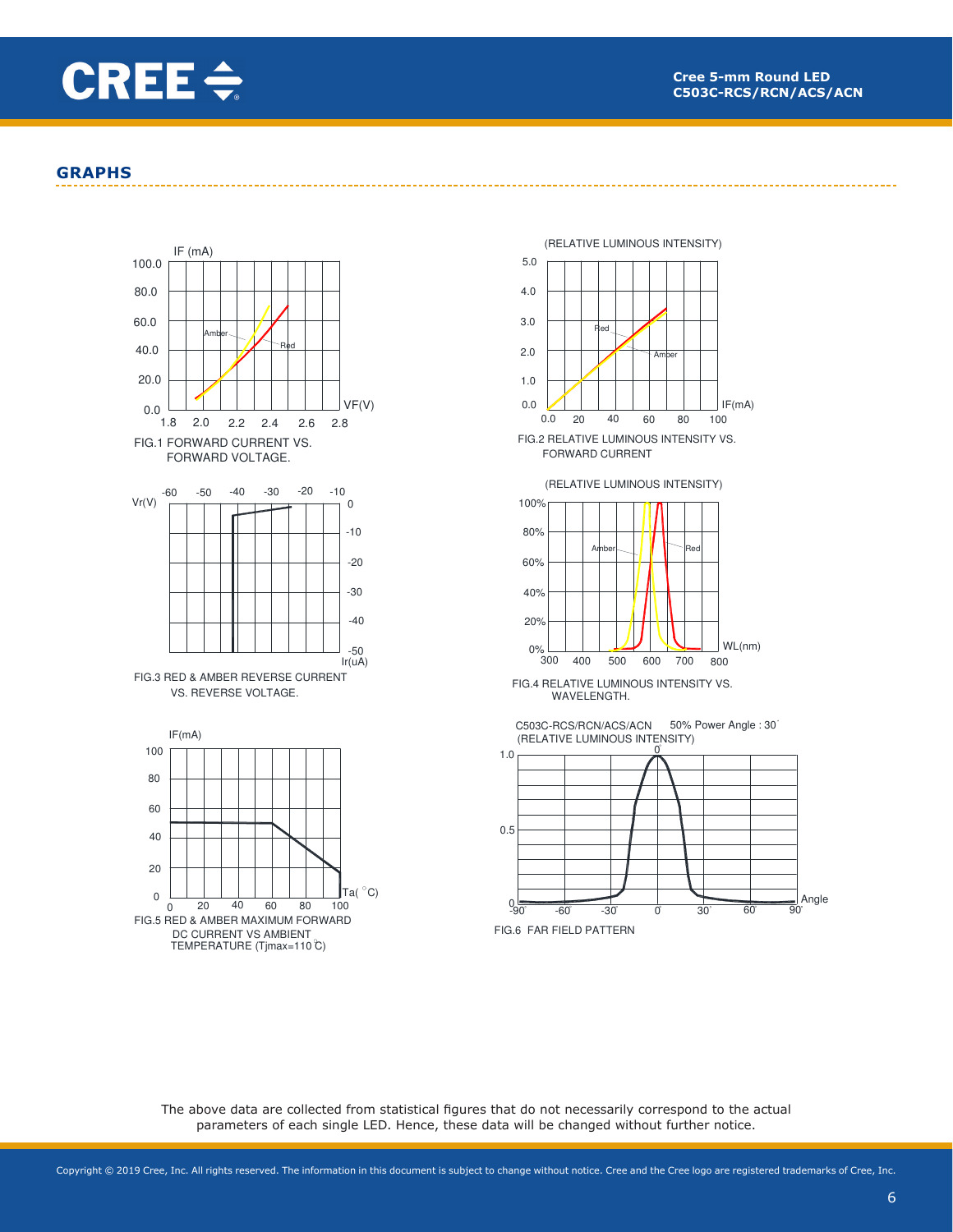

### **GRAPHS**







FIG.4 RELATIVE LUMINOUS INTENSITY VS. WAVELENGTH.

C503C-RCS/RCN/ACS/ACN 50% Power Angle : 30 (RELATIVE LUMINOUS INTENSITY)



The above data are collected from statistical figures that do not necessarily correspond to the actual parameters of each single LED. Hence, these data will be changed without further notice.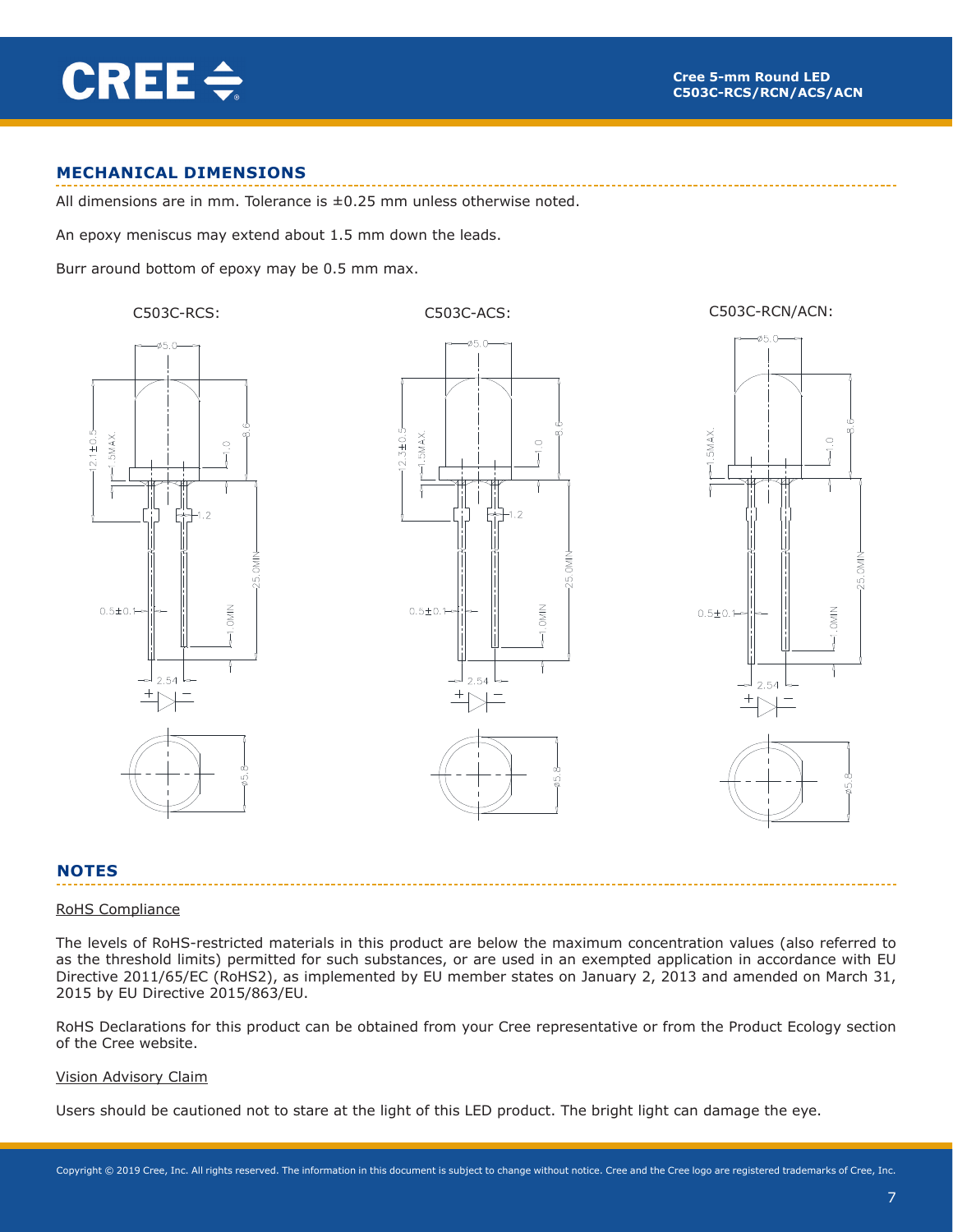

### **MECHANICAL DIMENSIONS**

All dimensions are in mm. Tolerance is  $\pm 0.25$  mm unless otherwise noted.

An epoxy meniscus may extend about 1.5 mm down the leads.

Burr around bottom of epoxy may be 0.5 mm max.

#### C503C-RCS: C503C-ACS: C503C-RCN/ACN:







#### **NOTES**

#### RoHS Compliance

The levels of RoHS-restricted materials in this product are below the maximum concentration values (also referred to as the threshold limits) permitted for such substances, or are used in an exempted application in accordance with EU Directive 2011/65/EC (RoHS2), as implemented by EU member states on January 2, 2013 and amended on March 31, 2015 by EU Directive 2015/863/EU.

RoHS Declarations for this product can be obtained from your Cree representative or from the Product Ecology section of the Cree website.

#### Vision Advisory Claim

Users should be cautioned not to stare at the light of this LED product. The bright light can damage the eye.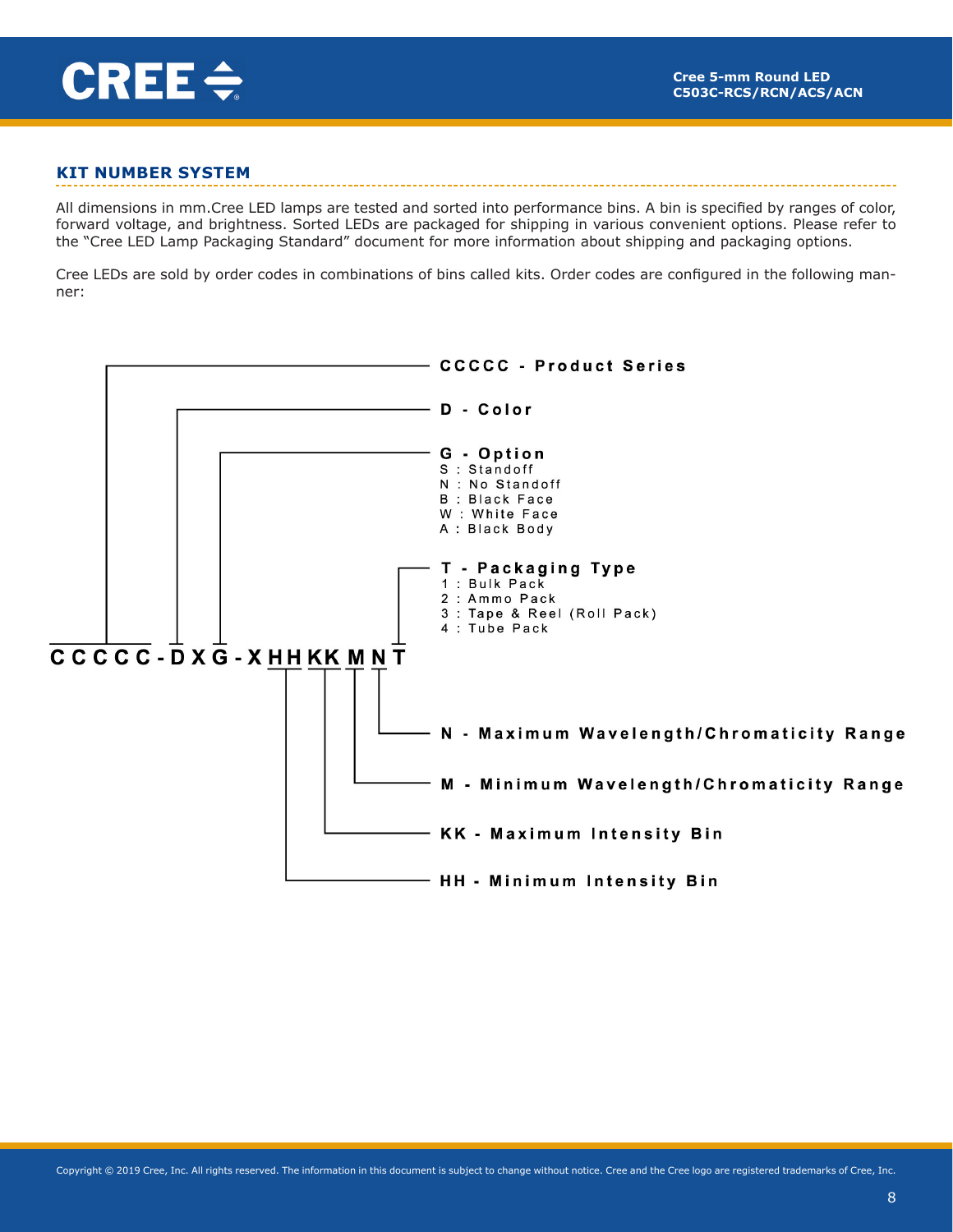

# **KIT NUMBER SYSTEM**

All dimensions in mm.Cree LED lamps are tested and sorted into performance bins. A bin is specified by ranges of color, forward voltage, and brightness. Sorted LEDs are packaged for shipping in various convenient options. Please refer to the "Cree LED Lamp Packaging Standard" document for more information about shipping and packaging options.

Cree LEDs are sold by order codes in combinations of bins called kits. Order codes are configured in the following manner:

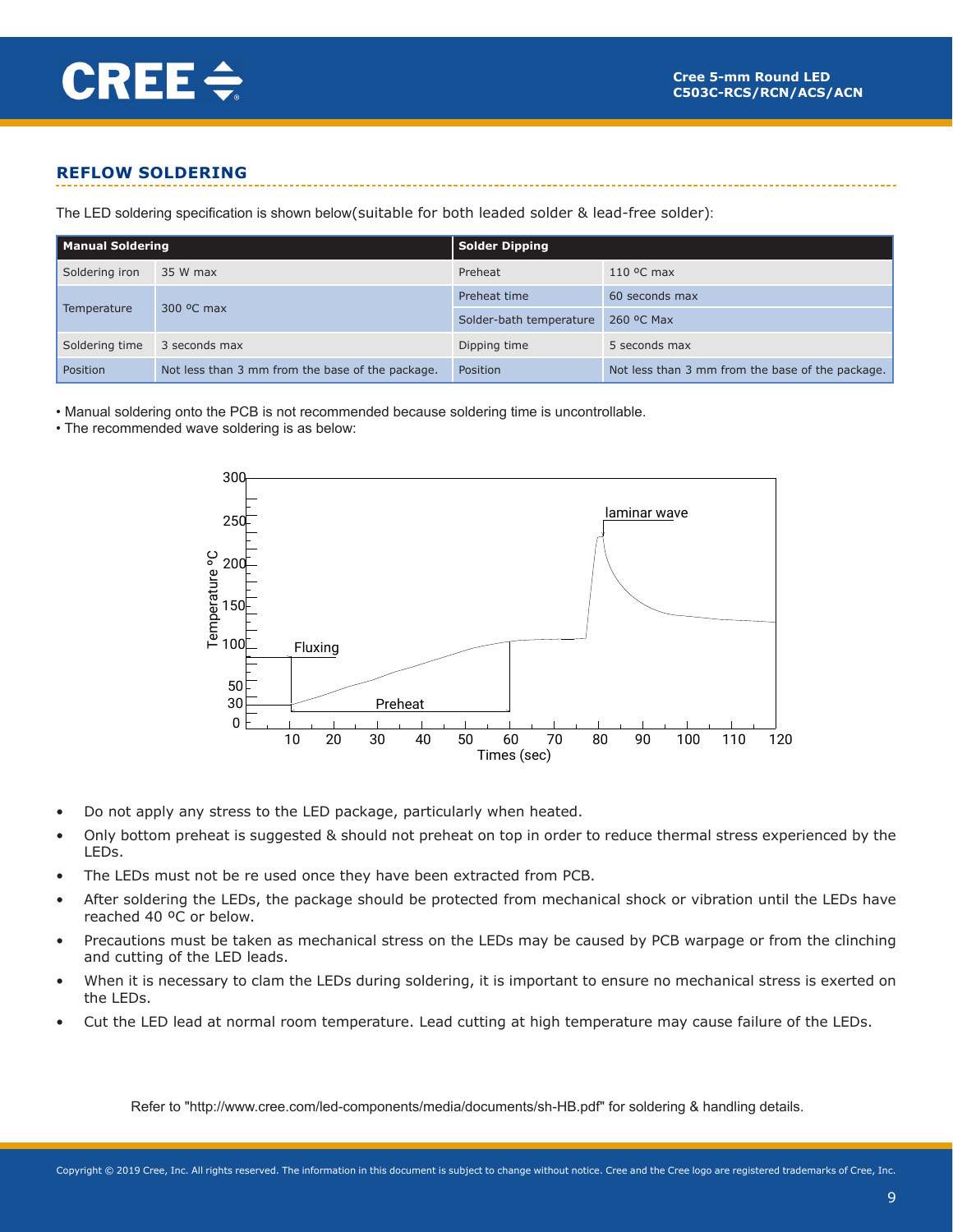

# **REFLOW SOLDERING**

The LED soldering specification is shown below(suitable for both leaded solder & lead-free solder):

| <b>Manual Soldering</b> |                                                  | Solder Dipping          |                                                  |  |  |  |
|-------------------------|--------------------------------------------------|-------------------------|--------------------------------------------------|--|--|--|
| Soldering iron          | 35 W max                                         | Preheat                 | $110$ °C max                                     |  |  |  |
|                         |                                                  | Preheat time            | 60 seconds max                                   |  |  |  |
| Temperature             | 300 °C max                                       | Solder-bath temperature | 260 °C Max                                       |  |  |  |
| Soldering time          | 3 seconds max                                    | Dipping time            | 5 seconds max                                    |  |  |  |
| Position                | Not less than 3 mm from the base of the package. | Position                | Not less than 3 mm from the base of the package. |  |  |  |

• Manual soldering onto the PCB is not recommended because soldering time is uncontrollable.

• The recommended wave soldering is as below:



- Do not apply any stress to the LED package, particularly when heated.
- Only bottom preheat is suggested & should not preheat on top in order to reduce thermal stress experienced by the LEDs.
- The LEDs must not be re used once they have been extracted from PCB.
- After soldering the LEDs, the package should be protected from mechanical shock or vibration until the LEDs have reached 40 ºC or below.
- Precautions must be taken as mechanical stress on the LEDs may be caused by PCB warpage or from the clinching and cutting of the LED leads.
- When it is necessary to clam the LEDs during soldering, it is important to ensure no mechanical stress is exerted on the LEDs.
- Cut the LED lead at normal room temperature. Lead cutting at high temperature may cause failure of the LEDs.

Refer to "http://www.cree.com/led-components/media/documents/sh-HB.pdf" for soldering & handling details.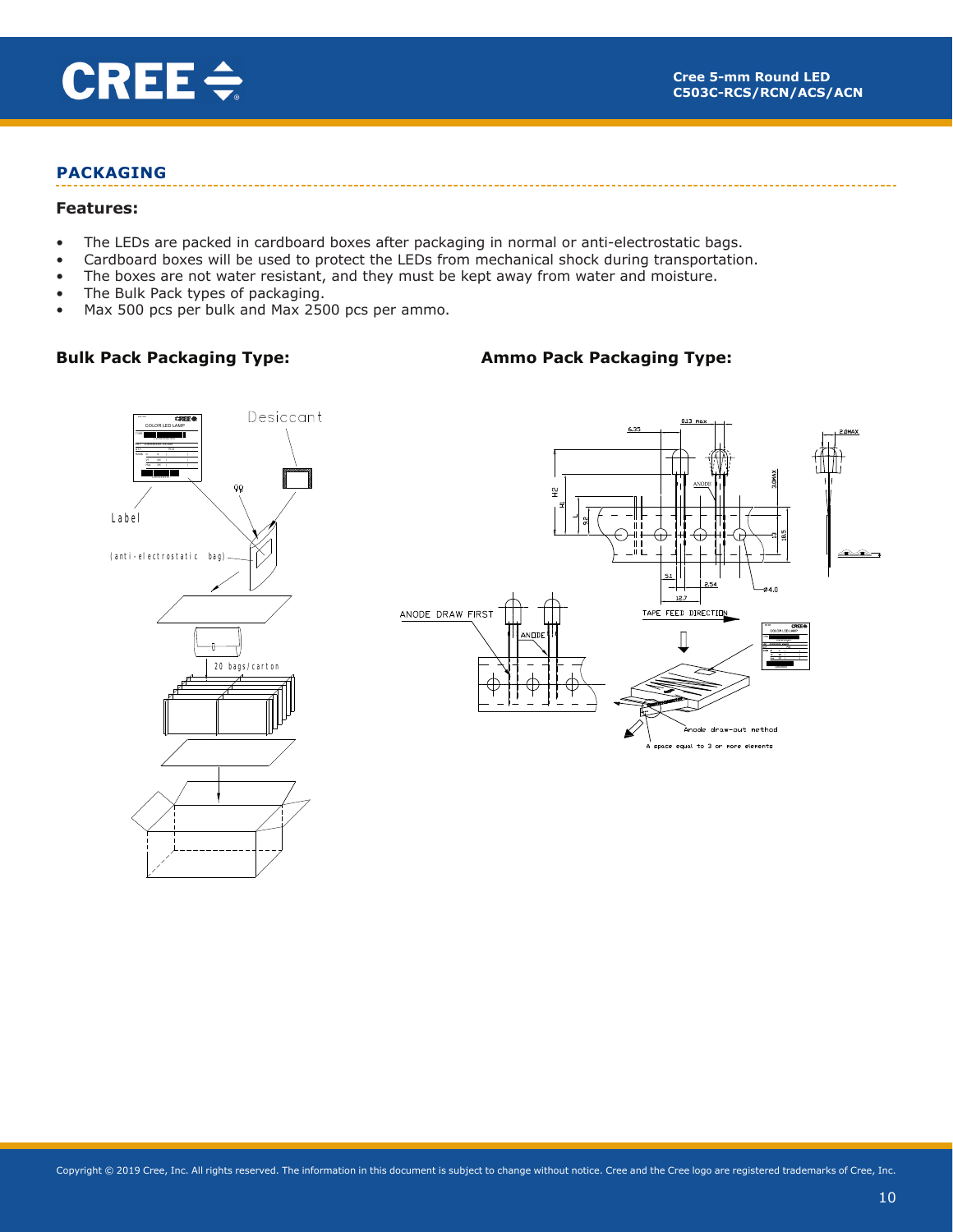

# **PACKAGING**

#### **Features:**

- The LEDs are packed in cardboard boxes after packaging in normal or anti-electrostatic bags.
- Cardboard boxes will be used to protect the LEDs from mechanical shock during transportation.
- The boxes are not water resistant, and they must be kept away from water and moisture.
- The Bulk Pack types of packaging.
- Max 500 pcs per bulk and Max 2500 pcs per ammo.

# **Bulk Pack Packaging Type:**

# **Ammo Pack Packaging Type:**